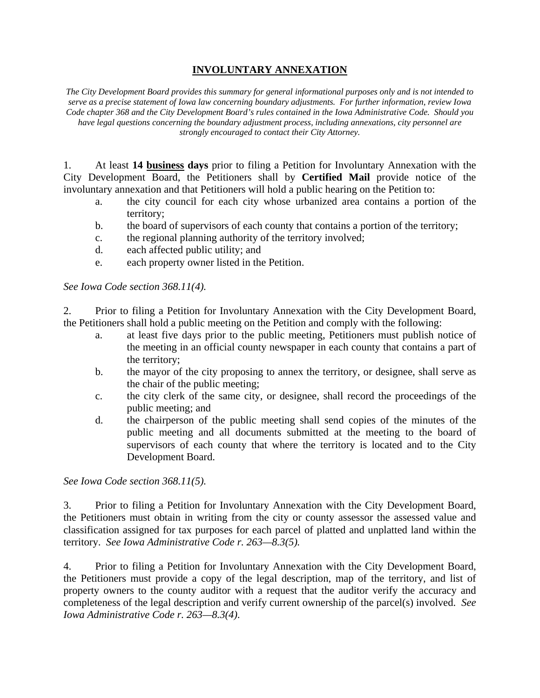## **INVOLUNTARY ANNEXATION**

*The City Development Board provides this summary for general informational purposes only and is not intended to serve as a precise statement of Iowa law concerning boundary adjustments. For further information, review Iowa Code chapter 368 and the City Development Board's rules contained in the Iowa Administrative Code. Should you have legal questions concerning the boundary adjustment process, including annexations, city personnel are strongly encouraged to contact their City Attorney.* 

1. At least **14 business days** prior to filing a Petition for Involuntary Annexation with the City Development Board, the Petitioners shall by **Certified Mail** provide notice of the involuntary annexation and that Petitioners will hold a public hearing on the Petition to:

- a. the city council for each city whose urbanized area contains a portion of the territory;
- b. the board of supervisors of each county that contains a portion of the territory;
- c. the regional planning authority of the territory involved;
- d. each affected public utility; and
- e. each property owner listed in the Petition.

*See Iowa Code section 368.11(4).* 

2. Prior to filing a Petition for Involuntary Annexation with the City Development Board, the Petitioners shall hold a public meeting on the Petition and comply with the following:

- a. at least five days prior to the public meeting, Petitioners must publish notice of the meeting in an official county newspaper in each county that contains a part of the territory;
- b. the mayor of the city proposing to annex the territory, or designee, shall serve as the chair of the public meeting;
- c. the city clerk of the same city, or designee, shall record the proceedings of the public meeting; and
- d. the chairperson of the public meeting shall send copies of the minutes of the public meeting and all documents submitted at the meeting to the board of supervisors of each county that where the territory is located and to the City Development Board.

*See Iowa Code section 368.11(5).* 

3. Prior to filing a Petition for Involuntary Annexation with the City Development Board, the Petitioners must obtain in writing from the city or county assessor the assessed value and classification assigned for tax purposes for each parcel of platted and unplatted land within the territory. *See Iowa Administrative Code r. 263—8.3(5).* 

4. Prior to filing a Petition for Involuntary Annexation with the City Development Board, the Petitioners must provide a copy of the legal description, map of the territory, and list of property owners to the county auditor with a request that the auditor verify the accuracy and completeness of the legal description and verify current ownership of the parcel(s) involved. *See Iowa Administrative Code r. 263—8.3(4)*.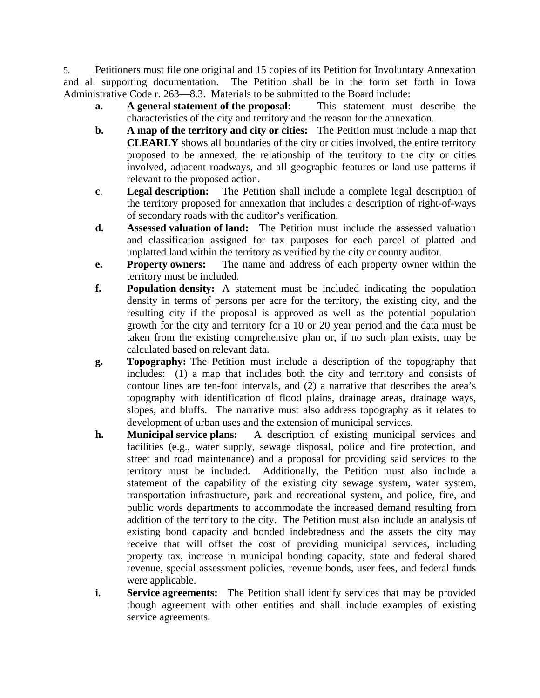5. Petitioners must file one original and 15 copies of its Petition for Involuntary Annexation and all supporting documentation. The Petition shall be in the form set forth in Iowa Administrative Code r. 263—8.3. Materials to be submitted to the Board include:

- **a. A general statement of the proposal**: This statement must describe the characteristics of the city and territory and the reason for the annexation.
- **b. A map of the territory and city or cities:** The Petition must include a map that **CLEARLY** shows all boundaries of the city or cities involved, the entire territory proposed to be annexed, the relationship of the territory to the city or cities involved, adjacent roadways, and all geographic features or land use patterns if relevant to the proposed action.
- **c**. **Legal description:** The Petition shall include a complete legal description of the territory proposed for annexation that includes a description of right-of-ways of secondary roads with the auditor's verification.
- **d. Assessed valuation of land:** The Petition must include the assessed valuation and classification assigned for tax purposes for each parcel of platted and unplatted land within the territory as verified by the city or county auditor.
- **e. Property owners:** The name and address of each property owner within the territory must be included.
- **f. Population density:** A statement must be included indicating the population density in terms of persons per acre for the territory, the existing city, and the resulting city if the proposal is approved as well as the potential population growth for the city and territory for a 10 or 20 year period and the data must be taken from the existing comprehensive plan or, if no such plan exists, may be calculated based on relevant data.
- **g. Topography:** The Petition must include a description of the topography that includes: (1) a map that includes both the city and territory and consists of contour lines are ten-foot intervals, and (2) a narrative that describes the area's topography with identification of flood plains, drainage areas, drainage ways, slopes, and bluffs. The narrative must also address topography as it relates to development of urban uses and the extension of municipal services.
- **h. Municipal service plans:** A description of existing municipal services and facilities (e.g., water supply, sewage disposal, police and fire protection, and street and road maintenance) and a proposal for providing said services to the territory must be included. Additionally, the Petition must also include a statement of the capability of the existing city sewage system, water system, transportation infrastructure, park and recreational system, and police, fire, and public words departments to accommodate the increased demand resulting from addition of the territory to the city. The Petition must also include an analysis of existing bond capacity and bonded indebtedness and the assets the city may receive that will offset the cost of providing municipal services, including property tax, increase in municipal bonding capacity, state and federal shared revenue, special assessment policies, revenue bonds, user fees, and federal funds were applicable.
- **i.** Service agreements: The Petition shall identify services that may be provided though agreement with other entities and shall include examples of existing service agreements.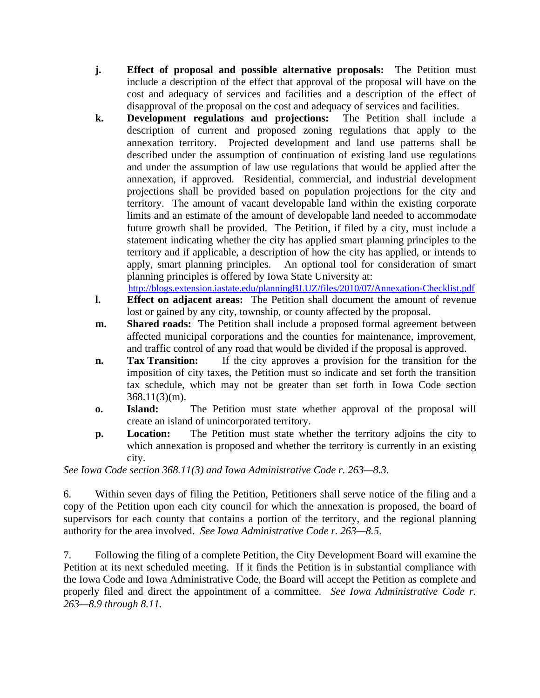- **j. Effect of proposal and possible alternative proposals:** The Petition must include a description of the effect that approval of the proposal will have on the cost and adequacy of services and facilities and a description of the effect of disapproval of the proposal on the cost and adequacy of services and facilities.
- **k. Development regulations and projections:** The Petition shall include a description of current and proposed zoning regulations that apply to the annexation territory. Projected development and land use patterns shall be described under the assumption of continuation of existing land use regulations and under the assumption of law use regulations that would be applied after the annexation, if approved. Residential, commercial, and industrial development projections shall be provided based on population projections for the city and territory. The amount of vacant developable land within the existing corporate limits and an estimate of the amount of developable land needed to accommodate future growth shall be provided. The Petition, if filed by a city, must include a statement indicating whether the city has applied smart planning principles to the territory and if applicable, a description of how the city has applied, or intends to apply, smart planning principles. An optional tool for consideration of smart planning principles is offered by Iowa State University at: http://blogs.extension.iastate.edu/planningBLUZ/files/2010/07/Annexation-Checklist.pdf
- **l. Effect on adjacent areas:** The Petition shall document the amount of revenue lost or gained by any city, township, or county affected by the proposal.
- **m.** Shared roads: The Petition shall include a proposed formal agreement between affected municipal corporations and the counties for maintenance, improvement, and traffic control of any road that would be divided if the proposal is approved.
- **n. Tax Transition:** If the city approves a provision for the transition for the imposition of city taxes, the Petition must so indicate and set forth the transition tax schedule, which may not be greater than set forth in Iowa Code section 368.11(3)(m).
- **o. Island:** The Petition must state whether approval of the proposal will create an island of unincorporated territory.
- **p. Location:** The Petition must state whether the territory adjoins the city to which annexation is proposed and whether the territory is currently in an existing city.

*See Iowa Code section 368.11(3) and Iowa Administrative Code r. 263—8.3.* 

6. Within seven days of filing the Petition, Petitioners shall serve notice of the filing and a copy of the Petition upon each city council for which the annexation is proposed, the board of supervisors for each county that contains a portion of the territory, and the regional planning authority for the area involved. *See Iowa Administrative Code r. 263—8.5*.

7. Following the filing of a complete Petition, the City Development Board will examine the Petition at its next scheduled meeting. If it finds the Petition is in substantial compliance with the Iowa Code and Iowa Administrative Code, the Board will accept the Petition as complete and properly filed and direct the appointment of a committee. *See Iowa Administrative Code r. 263—8.9 through 8.11.*